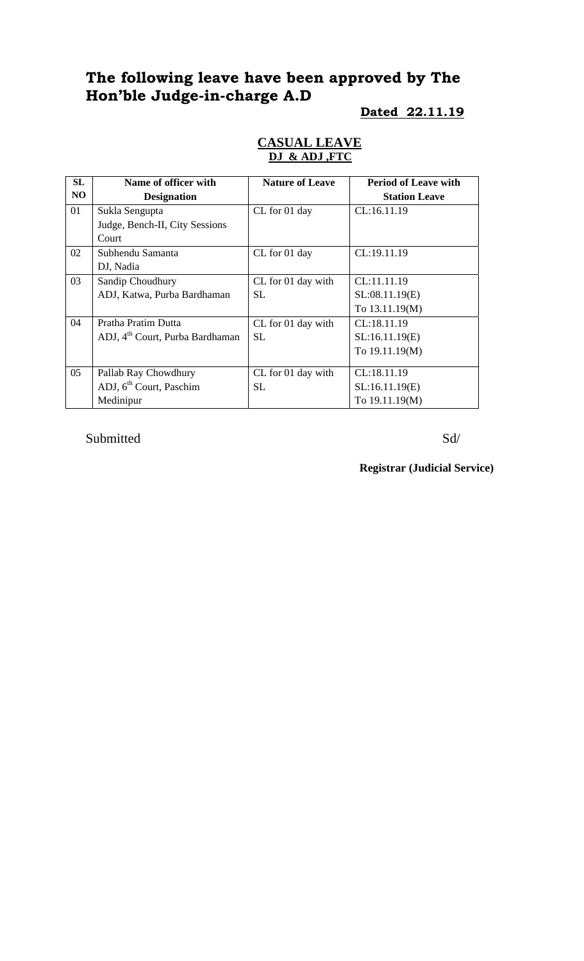# **The following leave have been approved by The Hon'ble Judge-in-charge A.D**

# **Dated 22.11.19**

| <b>SL</b> | Name of officer with                        | <b>Nature of Leave</b> | <b>Period of Leave with</b> |
|-----------|---------------------------------------------|------------------------|-----------------------------|
| NO.       | <b>Designation</b>                          |                        | <b>Station Leave</b>        |
| 01        | Sukla Sengupta                              | CL for 01 day          | CL:16.11.19                 |
|           | Judge, Bench-II, City Sessions              |                        |                             |
|           | Court                                       |                        |                             |
| 02        | Subhendu Samanta                            | CL for 01 day          | CL:19.11.19                 |
|           | DJ, Nadia                                   |                        |                             |
| 03        | Sandip Choudhury                            | CL for 01 day with     | CL:11.11.19                 |
|           | ADJ, Katwa, Purba Bardhaman                 | <b>SL</b>              | SL:08.11.19(E)              |
|           |                                             |                        | To 13.11.19(M)              |
| 04        | Pratha Pratim Dutta                         | CL for 01 day with     | CL:18.11.19                 |
|           | ADJ, 4 <sup>th</sup> Court, Purba Bardhaman | SL                     | SL:16.11.19(E)              |
|           |                                             |                        | To 19.11.19(M)              |
|           |                                             |                        |                             |
| 05        | Pallab Ray Chowdhury                        | CL for 01 day with     | CL:18.11.19                 |
|           | ADJ, $6th$ Court, Paschim                   | SL.                    | SL:16.11.19(E)              |
|           | Medinipur                                   |                        | To 19.11.19(M)              |

#### **CASUAL LEAVE DJ & ADJ ,FTC**

Submitted Sd/

**Registrar (Judicial Service)**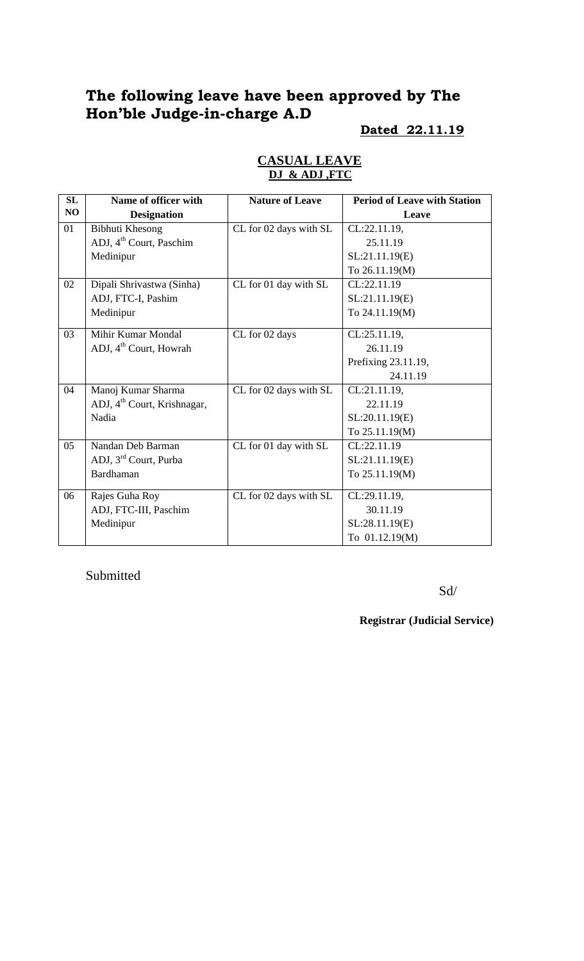# **The following leave have been approved by The Hon'ble Judge-in-charge A.D**

### **Dated 22.11.19**

| SL | Name of officer with                    | <b>Nature of Leave</b> | <b>Period of Leave with Station</b> |
|----|-----------------------------------------|------------------------|-------------------------------------|
| NO | <b>Designation</b>                      |                        | Leave                               |
| 01 | Bibhuti Khesong                         | CL for 02 days with SL | CL:22.11.19,                        |
|    | ADJ, 4 <sup>th</sup> Court, Paschim     |                        | 25.11.19                            |
|    | Medinipur                               |                        | SL:21.11.19(E)                      |
|    |                                         |                        | To 26.11.19(M)                      |
| 02 | Dipali Shrivastwa (Sinha)               | CL for 01 day with SL  | CL:22.11.19                         |
|    | ADJ, FTC-I, Pashim                      |                        | SL:21.11.19(E)                      |
|    | Medinipur                               |                        | To 24.11.19(M)                      |
| 03 | Mihir Kumar Mondal                      | CL for 02 days         | CL:25.11.19,                        |
|    | ADJ, 4 <sup>th</sup> Court, Howrah      |                        | 26.11.19                            |
|    |                                         |                        | Prefixing 23.11.19,                 |
|    |                                         |                        | 24.11.19                            |
| 04 | Manoj Kumar Sharma                      | CL for 02 days with SL | CL:21.11.19,                        |
|    | ADJ, 4 <sup>th</sup> Court, Krishnagar, |                        | 22.11.19                            |
|    | Nadia                                   |                        | SL:20.11.19(E)                      |
|    |                                         |                        | To 25.11.19(M)                      |
| 05 | Nandan Deb Barman                       | CL for 01 day with SL  | CL:22.11.19                         |
|    | ADJ, 3 <sup>rd</sup> Court, Purba       |                        | SL:21.11.19(E)                      |
|    | Bardhaman                               |                        | To 25.11.19(M)                      |
| 06 | Rajes Guha Roy                          | CL for 02 days with SL | CL:29.11.19,                        |
|    | ADJ, FTC-III, Paschim                   |                        | 30.11.19                            |
|    | Medinipur                               |                        | SL:28.11.19(E)                      |
|    |                                         |                        | To 01.12.19(M)                      |

### **CASUAL LEAVE DJ & ADJ ,FTC**

Submitted

Sd/

**Registrar (Judicial Service)**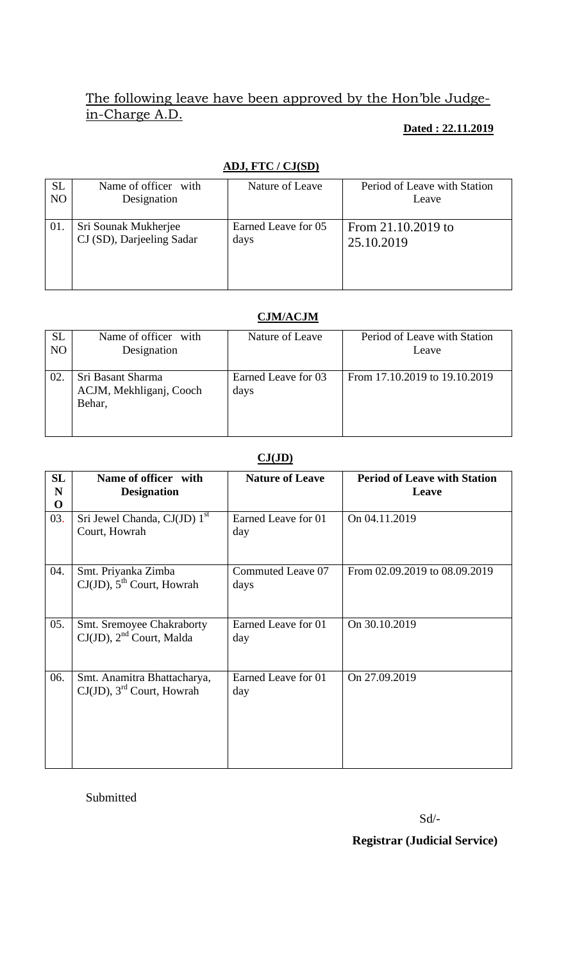# The following leave have been approved by the Hon'ble Judgein-Charge A.D.

### **Dated : 22.11.2019**

|           | $1110$ , $1101000$        |                     |                              |  |  |
|-----------|---------------------------|---------------------|------------------------------|--|--|
| <b>SL</b> | Name of officer with      | Nature of Leave     | Period of Leave with Station |  |  |
| NO        | Designation               |                     | Leave                        |  |  |
|           |                           |                     |                              |  |  |
| 01.       | Sri Sounak Mukherjee      | Earned Leave for 05 | From 21.10.2019 to           |  |  |
|           | CJ (SD), Darjeeling Sadar | days                | 25.10.2019                   |  |  |
|           |                           |                     |                              |  |  |
|           |                           |                     |                              |  |  |
|           |                           |                     |                              |  |  |

# **ADJ, FTC / CJ(SD)**

## **CJM/ACJM**

| <b>SL</b> | Name of officer with                                   | Nature of Leave             | Period of Leave with Station  |
|-----------|--------------------------------------------------------|-----------------------------|-------------------------------|
| NO        | Designation                                            |                             | Leave                         |
| 02.       | Sri Basant Sharma<br>ACJM, Mekhliganj, Cooch<br>Behar, | Earned Leave for 03<br>days | From 17.10.2019 to 19.10.2019 |

### **CJ(JD)**

| SL<br>N<br>$\mathbf 0$ | Name of officer with<br><b>Designation</b>                           | <b>Nature of Leave</b>     | <b>Period of Leave with Station</b><br>Leave |
|------------------------|----------------------------------------------------------------------|----------------------------|----------------------------------------------|
| 03.                    | Sri Jewel Chanda, CJ(JD) 1 <sup>st</sup><br>Court, Howrah            | Earned Leave for 01<br>day | On 04.11.2019                                |
| 04.                    | Smt. Priyanka Zimba<br>$CJ(JD)$ , $5^{th}$ Court, Howrah             | Commuted Leave 07<br>days  | From 02.09.2019 to 08.09.2019                |
| 05.                    | <b>Smt. Sremoyee Chakraborty</b><br>$CJ(JD)$ , $2nd$ Court, Malda    | Earned Leave for 01<br>day | On 30.10.2019                                |
| 06.                    | Smt. Anamitra Bhattacharya,<br>CJ(JD), 3 <sup>rd</sup> Court, Howrah | Earned Leave for 01<br>day | On 27.09.2019                                |

Submitted

Sd/-

 **Registrar (Judicial Service)**